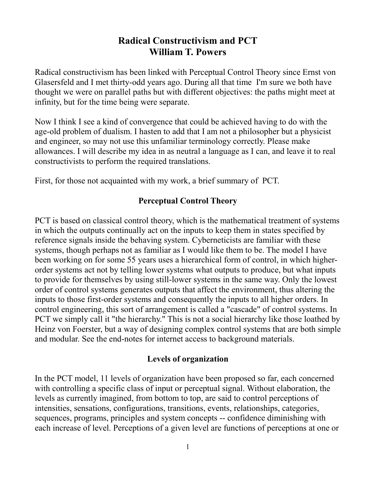# **Radical Constructivism and PCT William T. Powers**

Radical constructivism has been linked with Perceptual Control Theory since Ernst von Glasersfeld and I met thirty-odd years ago. During all that time I'm sure we both have thought we were on parallel paths but with different objectives: the paths might meet at infinity, but for the time being were separate.

Now I think I see a kind of convergence that could be achieved having to do with the age-old problem of dualism. I hasten to add that I am not a philosopher but a physicist and engineer, so may not use this unfamiliar terminology correctly. Please make allowances. I will describe my idea in as neutral a language as I can, and leave it to real constructivists to perform the required translations.

First, for those not acquainted with my work, a brief summary of PCT.

## **Perceptual Control Theory**

PCT is based on classical control theory, which is the mathematical treatment of systems in which the outputs continually act on the inputs to keep them in states specified by reference signals inside the behaving system. Cyberneticists are familiar with these systems, though perhaps not as familiar as I would like them to be. The model I have been working on for some 55 years uses a hierarchical form of control, in which higherorder systems act not by telling lower systems what outputs to produce, but what inputs to provide for themselves by using still-lower systems in the same way. Only the lowest order of control systems generates outputs that affect the environment, thus altering the inputs to those first-order systems and consequently the inputs to all higher orders. In control engineering, this sort of arrangement is called a "cascade" of control systems. In PCT we simply call it "the hierarchy." This is not a social hierarchy like those loathed by Heinz von Foerster, but a way of designing complex control systems that are both simple and modular. See the end-notes for internet access to background materials.

### **Levels of organization**

In the PCT model, 11 levels of organization have been proposed so far, each concerned with controlling a specific class of input or perceptual signal. Without elaboration, the levels as currently imagined, from bottom to top, are said to control perceptions of intensities, sensations, configurations, transitions, events, relationships, categories, sequences, programs, principles and system concepts -- confidence diminishing with each increase of level. Perceptions of a given level are functions of perceptions at one or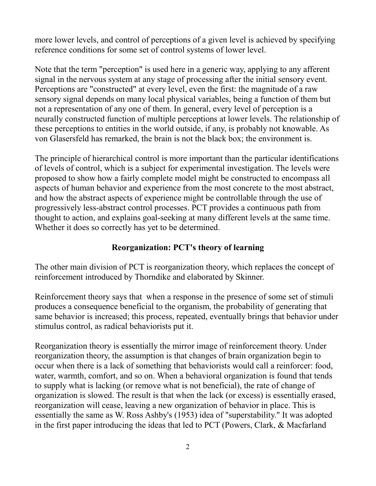more lower levels, and control of perceptions of a given level is achieved by specifying reference conditions for some set of control systems of lower level.

Note that the term "perception" is used here in a generic way, applying to any afferent signal in the nervous system at any stage of processing after the initial sensory event. Perceptions are "constructed" at every level, even the first: the magnitude of a raw sensory signal depends on many local physical variables, being a function of them but not a representation of any one of them. In general, every level of perception is a neurally constructed function of multiple perceptions at lower levels. The relationship of these perceptions to entities in the world outside, if any, is probably not knowable. As von Glasersfeld has remarked, the brain is not the black box; the environment is.

The principle of hierarchical control is more important than the particular identifications of levels of control, which is a subject for experimental investigation. The levels were proposed to show how a fairly complete model might be constructed to encompass all aspects of human behavior and experience from the most concrete to the most abstract, and how the abstract aspects of experience might be controllable through the use of progressively less-abstract control processes. PCT provides a continuous path from thought to action, and explains goal-seeking at many different levels at the same time. Whether it does so correctly has yet to be determined.

### **Reorganization: PCT's theory of learning**

The other main division of PCT is reorganization theory, which replaces the concept of reinforcement introduced by Thorndike and elaborated by Skinner.

Reinforcement theory says that when a response in the presence of some set of stimuli produces a consequence beneficial to the organism, the probability of generating that same behavior is increased; this process, repeated, eventually brings that behavior under stimulus control, as radical behaviorists put it.

Reorganization theory is essentially the mirror image of reinforcement theory. Under reorganization theory, the assumption is that changes of brain organization begin to occur when there is a lack of something that behaviorists would call a reinforcer: food, water, warmth, comfort, and so on. When a behavioral organization is found that tends to supply what is lacking (or remove what is not beneficial), the rate of change of organization is slowed. The result is that when the lack (or excess) is essentially erased, reorganization will cease, leaving a new organization of behavior in place. This is essentially the same as W. Ross Ashby's (1953) idea of "superstability." It was adopted in the first paper introducing the ideas that led to PCT (Powers, Clark, & Macfarland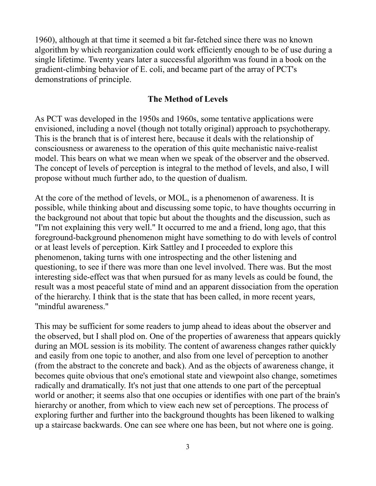1960), although at that time it seemed a bit far-fetched since there was no known algorithm by which reorganization could work efficiently enough to be of use during a single lifetime. Twenty years later a successful algorithm was found in a book on the gradient-climbing behavior of E. coli, and became part of the array of PCT's demonstrations of principle.

#### **The Method of Levels**

As PCT was developed in the 1950s and 1960s, some tentative applications were envisioned, including a novel (though not totally original) approach to psychotherapy. This is the branch that is of interest here, because it deals with the relationship of consciousness or awareness to the operation of this quite mechanistic naive-realist model. This bears on what we mean when we speak of the observer and the observed. The concept of levels of perception is integral to the method of levels, and also, I will propose without much further ado, to the question of dualism.

At the core of the method of levels, or MOL, is a phenomenon of awareness. It is possible, while thinking about and discussing some topic, to have thoughts occurring in the background not about that topic but about the thoughts and the discussion, such as "I'm not explaining this very well." It occurred to me and a friend, long ago, that this foreground-background phenomenon might have something to do with levels of control or at least levels of perception. Kirk Sattley and I proceeded to explore this phenomenon, taking turns with one introspecting and the other listening and questioning, to see if there was more than one level involved. There was. But the most interesting side-effect was that when pursued for as many levels as could be found, the result was a most peaceful state of mind and an apparent dissociation from the operation of the hierarchy. I think that is the state that has been called, in more recent years, "mindful awareness."

This may be sufficient for some readers to jump ahead to ideas about the observer and the observed, but I shall plod on. One of the properties of awareness that appears quickly during an MOL session is its mobility. The content of awareness changes rather quickly and easily from one topic to another, and also from one level of perception to another (from the abstract to the concrete and back). And as the objects of awareness change, it becomes quite obvious that one's emotional state and viewpoint also change, sometimes radically and dramatically. It's not just that one attends to one part of the perceptual world or another; it seems also that one occupies or identifies with one part of the brain's hierarchy or another, from which to view each new set of perceptions. The process of exploring further and further into the background thoughts has been likened to walking up a staircase backwards. One can see where one has been, but not where one is going.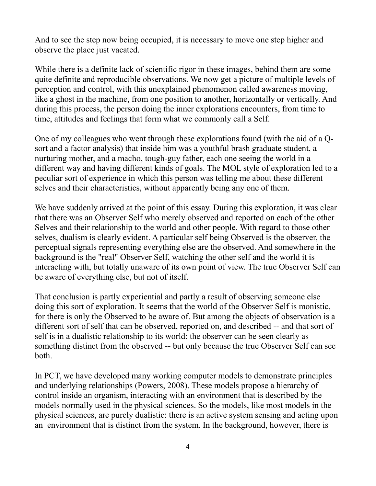And to see the step now being occupied, it is necessary to move one step higher and observe the place just vacated.

While there is a definite lack of scientific rigor in these images, behind them are some quite definite and reproducible observations. We now get a picture of multiple levels of perception and control, with this unexplained phenomenon called awareness moving, like a ghost in the machine, from one position to another, horizontally or vertically. And during this process, the person doing the inner explorations encounters, from time to time, attitudes and feelings that form what we commonly call a Self.

One of my colleagues who went through these explorations found (with the aid of a Qsort and a factor analysis) that inside him was a youthful brash graduate student, a nurturing mother, and a macho, tough-guy father, each one seeing the world in a different way and having different kinds of goals. The MOL style of exploration led to a peculiar sort of experience in which this person was telling me about these different selves and their characteristics, without apparently being any one of them.

We have suddenly arrived at the point of this essay. During this exploration, it was clear that there was an Observer Self who merely observed and reported on each of the other Selves and their relationship to the world and other people. With regard to those other selves, dualism is clearly evident. A particular self being Observed is the observer, the perceptual signals representing everything else are the observed. And somewhere in the background is the "real" Observer Self, watching the other self and the world it is interacting with, but totally unaware of its own point of view. The true Observer Self can be aware of everything else, but not of itself.

That conclusion is partly experiential and partly a result of observing someone else doing this sort of exploration. It seems that the world of the Observer Self is monistic, for there is only the Observed to be aware of. But among the objects of observation is a different sort of self that can be observed, reported on, and described -- and that sort of self is in a dualistic relationship to its world: the observer can be seen clearly as something distinct from the observed -- but only because the true Observer Self can see both.

In PCT, we have developed many working computer models to demonstrate principles and underlying relationships (Powers, 2008). These models propose a hierarchy of control inside an organism, interacting with an environment that is described by the models normally used in the physical sciences. So the models, like most models in the physical sciences, are purely dualistic: there is an active system sensing and acting upon an environment that is distinct from the system. In the background, however, there is